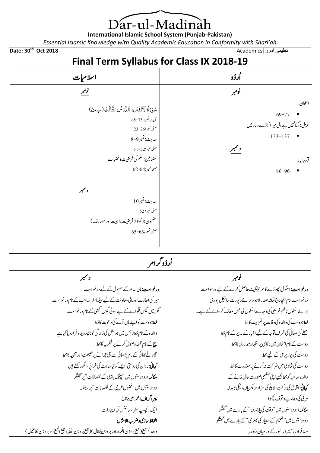Dar-ul-Madinah

**International Islamic School System (Punjab-Pakistan)**

*Essential Islamic Knowledge with Quality Academic Education in Conformity with Shari'ah*

**Date: 30th Oct 2018** Academics|امور تعلیمی

ہر نی کی د عا،ے و قوف کچھوا

مسافر اور رکشہ ڈرائیور کے در میان مکالمہ

م**کالمہ:** دودوستوں میں "وقت کی پابندی"کے بارے میں گفتگو دودوستوں میں" تعلیم کے معیار کی بہتر ی" کے بارے میں گفتگو

## **Final Term Syllabus for Class IX 2018-19**

| اسلاميات                                                                                                  | أرذو                                                                                        |
|-----------------------------------------------------------------------------------------------------------|---------------------------------------------------------------------------------------------|
| تومبر                                                                                                     | نومبر                                                                                       |
| سُوۡرَةُالۡاَنۡفَالَ: اَللَّارۡ <sup>ِسُ</sup> الثَّالَثُ (ب،۞)                                           | امتحان<br>$69 - 77$                                                                         |
| آيت نمبر: 75-65<br>صفحه نمبر:26-23                                                                        | غزل: گَلْبَانْہَیں ہے دل میر ااُجڑے دیار میں                                                |
| حديث:نمبر9-8                                                                                              | $133 - 137$                                                                                 |
| صفحه نمبر:52-51                                                                                           | ولتمبر                                                                                      |
| مضامین: علم کی فرضیت وفضیات                                                                               | قدرِاياز                                                                                    |
| صفحه نمبر:64-62                                                                                           | 86-96                                                                                       |
| دسمبر                                                                                                     |                                                                                             |
| عديث:نمبر10                                                                                               |                                                                                             |
| صفحه نمبر: 52                                                                                             |                                                                                             |
| مضمون:ز کُوة (فرضیت،اہمیت اور مصارف)                                                                      |                                                                                             |
| صفحه نمبر:66-65                                                                                           |                                                                                             |
|                                                                                                           |                                                                                             |
| أرؤوگرام                                                                                                  |                                                                                             |
| ولتمبر                                                                                                    | <u>گومبر</u>                                                                                |
| ورخواست: مالی امداد کے حصول کے لیے درخواست                                                                | <b>درخواست:</b> اسکول حچوڑنے کاسر ٹیفکیٹ حاصل کرنے کے لیے درخواست                           |
| سیر کی اجازت اور مالی معاونت کے لیے ہیڈ ماسٹر صاحب کے نام درخواست                                         | درخواست بنام ان <u>ج</u> ارج تھانہ صدر لاہور بر ائے رپورٹ سائیکل چوری                       |
| گھر میں گیس لگوانے کے لیے سوئی گیس کمپنی کے نام درخواست                                                   | برائےاسکول ناظم غریبی کی وجہ سے اسکول کی فیس معاف کر وانے کے لیے۔                           |
| مخط:دوست کواپنے ہاں آنے کی دعوت کاخط                                                                      | مخط: دوست کی والدہ کی وفات پر تعزیت کاخط                                                    |
| والدہ کے نام خط(جس میں ہو سٹل کی زند گی کو ناپسندیدہ قرار دیا گیاہے                                       | محلے کی صفائی کی طرف توجہ کے لیے اخبار کے مدیر کے نام خط                                    |
| چچاکے نام تحفہ وصول کرنے پر شکر پہ کاخط<br>چھوٹے بھائی کے نام پڑھائی سے جی چرانے پر نصیحت اور تنبییہ کاخط | دوست کے نام امتحان میں ناکامی پر اظہار ہ <i>د ر</i> دی کاخط<br>دوست کی بیار پر سی کے لیے خط |
| <b>کہانی:نادان کی دوستی،ایسے کو تیا،عادت کی خرانی،ائگور کھٹے ہیں</b>                                      | دوست کی شادی میں شر کت نہ کرنے پر معذرت کاخط                                                |
| مکالمہ: دودوستوں میں" پتنگ بازی کے نقصانات" پر گفتگو                                                      | والدہ صاحبہ کو خط <u>لکھی</u> ے اپنی تعلیمی صورت حال بتانے کے                               |
| دودوستوں میں "فضول خرچی کے نقصانات "پر مکالمہ                                                             | <b>  کہانی:اتفاق کی بر کت،لاگچ کی سزا،دو بکریاں، ٹیکی کابدلہ</b>                            |

ریپارگاف: دمحم یلع انجح

الفاظ سازی وضرب الامثال

ایک دلچسپ سفر ،سائنس کی ایجادات۔

داحد / جمع (جمع بر وزن أفُعِلَاءادر بر وزن فِعَال)( جمع بر وزن أفُعِلَه، جمع الجمع اور بر وزن أفَاعيْل)

ِ ∫

َ ∫<br>∶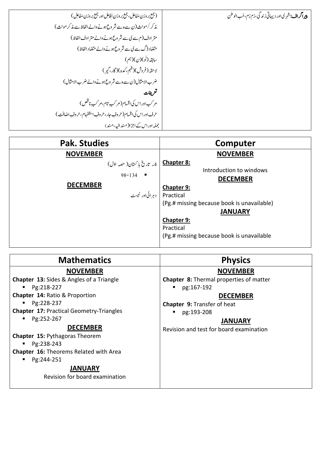| (جمع بر وزن مَفَاعِل، جمع بر وزن أفَاعِل اور جمع بر وزن مَفَاعِل ) | پیراگراف: ش <sub>هر</sub> ی اور دیهاتی زندگی،زم زم، حُب الوطن |
|--------------------------------------------------------------------|---------------------------------------------------------------|
| مذكر /مونث (ن سے ہ سے شر وع ہونے والے الفاظ سے مذكر مونث)          |                                                               |
| متر ادف(م سے کی سے شروع ہونے والے متر ادف الفاظ)                   |                                                               |
| متضاد (گےسے کی سے شر وع ہونے والے متضاد الفاظ)                     |                                                               |
| سابقہ (نَو)(ن)(ہم)                                                 |                                                               |
| لاحقه (فروش)(فہم،کدہ)(گار،گیر)                                     |                                                               |
| ضرب الامثال (ن سے ہ سے شروع ہونے والے ضرب الامثال)                 |                                                               |
| تعريفات                                                            |                                                               |
| مر کب اور اس کی اقسام(مر کب تام،مر کب ناقص)                        |                                                               |
| حرف اور اس کی اقسام (حروفِ جار،حروفِ استفہام،حروفِ اضافت )         |                                                               |
| جملہ اور اس کے اجزا(مند الیہ،مند)                                  |                                                               |

| <b>Pak. Studies</b>          | Computer                                   |  |
|------------------------------|--------------------------------------------|--|
| <b>NOVEMBER</b>              | <b>NOVEMBER</b>                            |  |
| 4_ تاريخ با ڪستان( حصه اوّل) | Chapter 8:                                 |  |
|                              | Introduction to windows                    |  |
| $98 - 134$                   | <b>DECEMBER</b>                            |  |
| <b>DECEMBER</b>              | Chapter 9:                                 |  |
| Practical   دہرائی اور ٹیسٹ  |                                            |  |
|                              | (Pg.# missing because book is unavailable) |  |
|                              | <b>JANUARY</b>                             |  |
|                              | <b>Chapter 9:</b>                          |  |
|                              | Practical                                  |  |
|                              | (Pg.# missing because book is unavailable  |  |
|                              |                                            |  |

| <b>Mathematics</b>                                                                                                                                                                                                                                                                                                                     | <b>Physics</b>                                                                                                                                                                            |
|----------------------------------------------------------------------------------------------------------------------------------------------------------------------------------------------------------------------------------------------------------------------------------------------------------------------------------------|-------------------------------------------------------------------------------------------------------------------------------------------------------------------------------------------|
| <b>NOVEMBER</b>                                                                                                                                                                                                                                                                                                                        | <b>NOVEMBER</b>                                                                                                                                                                           |
| <b>Chapter 13: Sides &amp; Angles of a Triangle</b><br>Pg:218-227<br><b>Chapter 14: Ratio &amp; Proportion</b><br>Pg:228-237<br><b>Chapter 17: Practical Geometry-Triangles</b><br>Pg:252-267<br><b>DECEMBER</b><br><b>Chapter 15: Pythagoras Theorem</b><br>Pg:238-243<br><b>Chapter 16: Theorems Related with Area</b><br>Pg:244-251 | Chapter 8: Thermal properties of matter<br>pg:167-192<br><b>DECEMBER</b><br><b>Chapter 9: Transfer of heat</b><br>pg:193-208<br><b>JANUARY</b><br>Revision and test for board examination |
| <b>JANUARY</b><br>Revision for board examination                                                                                                                                                                                                                                                                                       |                                                                                                                                                                                           |
|                                                                                                                                                                                                                                                                                                                                        |                                                                                                                                                                                           |